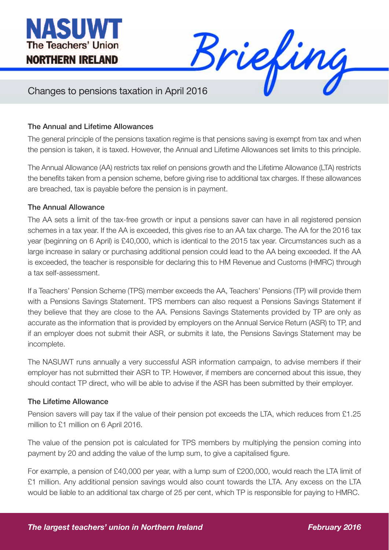



## Changes to pensions taxation in April 2016

## The Annual and Lifetime Allowances

The general principle of the pensions taxation regime is that pensions saving is exempt from tax and when the pension is taken, it is taxed. However, the Annual and Lifetime Allowances set limits to this principle.

The Annual Allowance (AA) restricts tax relief on pensions growth and the Lifetime Allowance (LTA) restricts the benefits taken from a pension scheme, before giving rise to additional tax charges. If these allowances are breached, tax is payable before the pension is in payment.

## The Annual Allowance

The AA sets a limit of the tax-free growth or input a pensions saver can have in all registered pension schemes in a tax year. If the AA is exceeded, this gives rise to an AA tax charge. The AA for the 2016 tax year (beginning on 6 April) is £40,000, which is identical to the 2015 tax year. Circumstances such as a large increase in salary or purchasing additional pension could lead to the AA being exceeded. If the AA is exceeded, the teacher is responsible for declaring this to HM Revenue and Customs (HMRC) through a tax self-assessment.

If a Teachers' Pension Scheme (TPS) member exceeds the AA, Teachers' Pensions (TP) will provide them with a Pensions Savings Statement. TPS members can also request a Pensions Savings Statement if they believe that they are close to the AA. Pensions Savings Statements provided by TP are only as accurate as the information that is provided by employers on the Annual Service Return (ASR) to TP, and if an employer does not submit their ASR, or submits it late, the Pensions Savings Statement may be incomplete.

The NASUWT runs annually a very successful ASR information campaign, to advise members if their employer has not submitted their ASR to TP. However, if members are concerned about this issue, they should contact TP direct, who will be able to advise if the ASR has been submitted by their employer.

## The Lifetime Allowance

Pension savers will pay tax if the value of their pension pot exceeds the LTA, which reduces from £1.25 million to £1 million on 6 April 2016.

The value of the pension pot is calculated for TPS members by multiplying the pension coming into payment by 20 and adding the value of the lump sum, to give a capitalised figure.

For example, a pension of £40,000 per year, with a lump sum of £200,000, would reach the LTA limit of £1 million. Any additional pension savings would also count towards the LTA. Any excess on the LTA would be liable to an additional tax charge of 25 per cent, which TP is responsible for paying to HMRC.